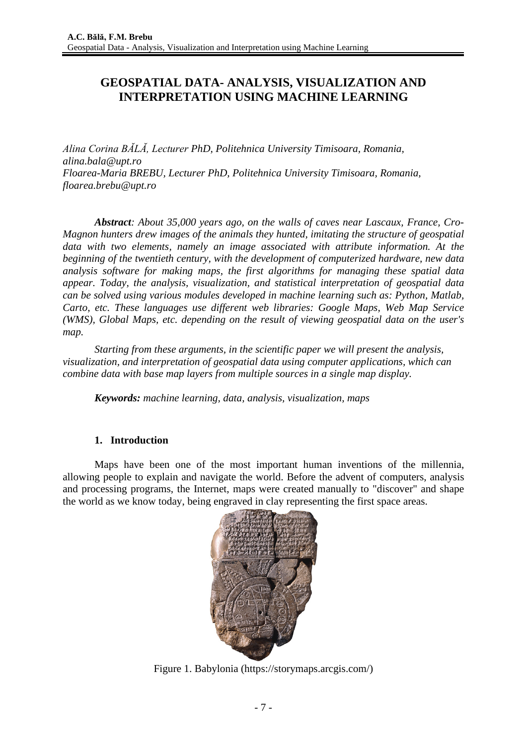# **GEOSPATIAL DATA- ANALYSIS, VISUALIZATION AND INTERPRETATION USING MACHINE LEARNING**

*Alina Corina BĂLĂ, Lecturer PhD, Politehnica University Timisoara, Romania, [alina.bala@upt.ro](mailto:alina.bala@upt.ro) Floarea-Maria BREBU, Lecturer PhD, Politehnica University Timisoara, Romania, floarea.brebu@upt.ro*

*Abstract: About 35,000 years ago, on the walls of caves near Lascaux, France, Cro-Magnon hunters drew images of the animals they hunted, imitating the structure of geospatial data with two elements, namely an image associated with attribute information. At the beginning of the twentieth century, with the development of computerized hardware, new data analysis software for making maps, the first algorithms for managing these spatial data appear. Today, the analysis, visualization, and statistical interpretation of geospatial data can be solved using various modules developed in machine learning such as: Python, Matlab, Carto, etc. These languages use different web libraries: Google Maps, Web Map Service (WMS), Global Maps, etc. depending on the result of viewing geospatial data on the user's map.*

*Starting from these arguments, in the scientific paper we will present the analysis, visualization, and interpretation of geospatial data using computer applications, which can combine data with base map layers from multiple sources in a single map display.*

*Keywords: machine learning, data, analysis, visualization, maps*

## **1. Introduction**

Maps have been one of the most important human inventions of the millennia, allowing people to explain and navigate the world. Before the advent of computers, analysis and processing programs, the Internet, maps were created manually to "discover" and shape the world as we know today, being engraved in clay representing the first space areas.



Figure 1. Babylonia (https://storymaps.arcgis.com/)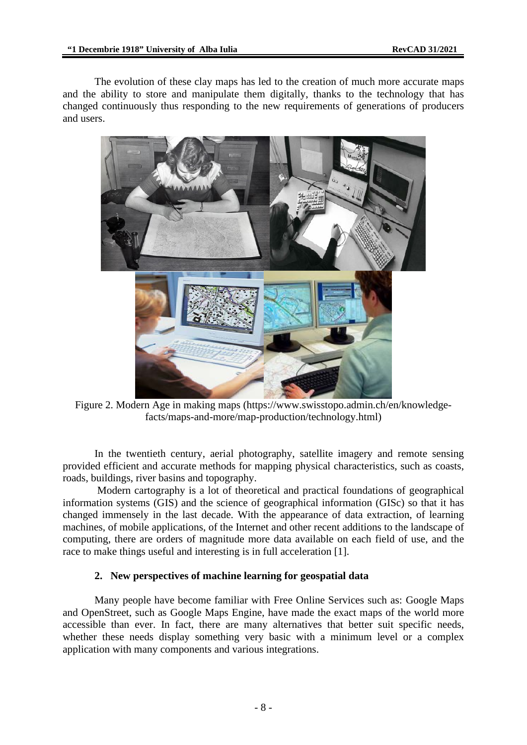The evolution of these clay maps has led to the creation of much more accurate maps and the ability to store and manipulate them digitally, thanks to the technology that has changed continuously thus responding to the new requirements of generations of producers and users.



Figure 2. Modern Age in making maps [\(https://www.swisstopo.admin.ch/en/knowledge](https://www.swisstopo.admin.ch/en/knowledge-facts/maps-and-more/map-production/technology.html)[facts/maps-and-more/map-production/technology.html\)](https://www.swisstopo.admin.ch/en/knowledge-facts/maps-and-more/map-production/technology.html)

In the twentieth century, aerial photography, satellite imagery and remote sensing provided efficient and accurate methods for mapping physical characteristics, such as coasts, roads, buildings, river basins and topography.

Modern cartography is a lot of theoretical and practical foundations of geographical information systems (GIS) and the science of geographical information (GISc) so that it has changed immensely in the last decade. With the appearance of data extraction, of learning machines, of mobile applications, of the Internet and other recent additions to the landscape of computing, there are orders of magnitude more data available on each field of use, and the race to make things useful and interesting is in full acceleration [1].

### **2. New perspectives of machine learning for geospatial data**

Many people have become familiar with Free Online Services such as: Google Maps and OpenStreet, such as Google Maps Engine, have made the exact maps of the world more accessible than ever. In fact, there are many alternatives that better suit specific needs, whether these needs display something very basic with a minimum level or a complex application with many components and various integrations.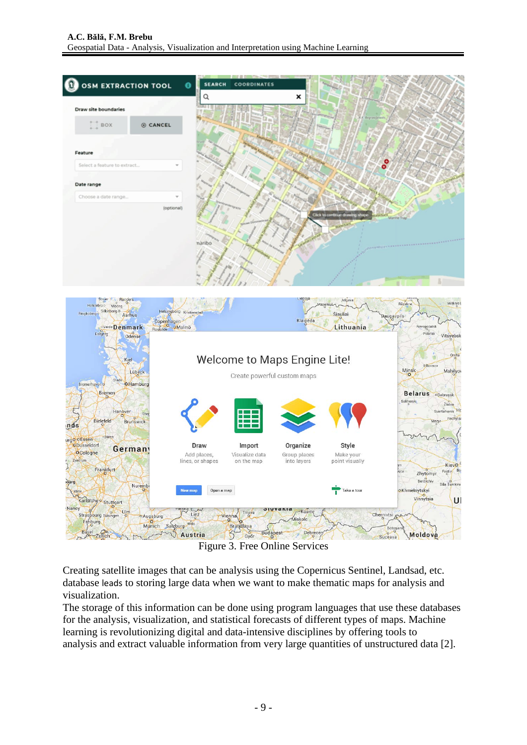



Figure 3. Free Online Services

Creating satellite images that can be analysis using the Copernicus Sentinel, Landsad, etc. database leads to storing large data when we want to make thematic maps for analysis and visualization.

The storage of this information can be done using program languages that use these databases for the analysis, visualization, and statistical forecasts of different types of maps. Machine learning is revolutionizing digital and data-intensive disciplines by offering tools to analysis and extract valuable information from very large quantities of unstructured data [2].